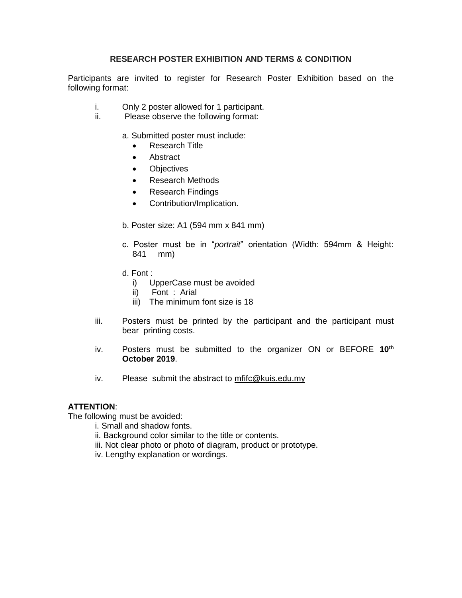## **RESEARCH POSTER EXHIBITION AND TERMS & CONDITION**

Participants are invited to register for Research Poster Exhibition based on the following format:

- i. Only 2 poster allowed for 1 participant.
- ii. Please observe the following format:

a. Submitted poster must include:

- Research Title
- Abstract
- **•** Objectives
- Research Methods
- Research Findings
- Contribution/Implication.
- b. Poster size: A1 (594 mm x 841 mm)
- c. Poster must be in "*portrait*" orientation (Width: 594mm & Height: 841 mm)
- d. Font :
	- i) UpperCase must be avoided
	- ii) Font : Arial
	- iii) The minimum font size is 18
- iii. Posters must be printed by the participant and the participant must bear printing costs.
- iv. Posters must be submitted to the organizer ON or BEFORE **10th October 2019**.
- iv. Please submit the abstract to mfifc@kuis.edu.my

## **ATTENTION**:

The following must be avoided:

- i. Small and shadow fonts.
- ii. Background color similar to the title or contents.
- iii. Not clear photo or photo of diagram, product or prototype.
- iv. Lengthy explanation or wordings.